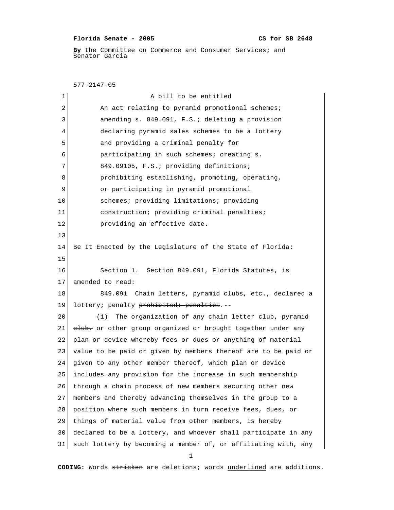## **Florida Senate - 2005 CS for SB 2648**

By the Committee on Commerce and Consumer Services; and Senator Garcia

 577-2147-05 1 a bill to be entitled 2 An act relating to pyramid promotional schemes; 3 amending s. 849.091, F.S.; deleting a provision 4 declaring pyramid sales schemes to be a lottery 5 and providing a criminal penalty for 6 participating in such schemes; creating s. 7 849.09105, F.S.; providing definitions; 8 **prohibiting establishing, promoting, operating,**  9 or participating in pyramid promotional 10 Schemes; providing limitations; providing 11 construction; providing criminal penalties; 12 **providing an effective date.** 13 14 Be It Enacted by the Legislature of the State of Florida: 15 16 Section 1. Section 849.091, Florida Statutes, is 17 amended to read: 18 849.091 Chain letters, pyramid clubs, etc., declared a 19 lottery; penalty prohibited; penalties.--20  $(1)$  The organization of any chain letter club, pyramid 21  $e^{\frac{1}{2}}$  cr other group organized or brought together under any 22 plan or device whereby fees or dues or anything of material 23 value to be paid or given by members thereof are to be paid or 24 given to any other member thereof, which plan or device 25 includes any provision for the increase in such membership 26 through a chain process of new members securing other new 27 members and thereby advancing themselves in the group to a 28 position where such members in turn receive fees, dues, or 29 things of material value from other members, is hereby 30 declared to be a lottery, and whoever shall participate in any 31 such lottery by becoming a member of, or affiliating with, any

1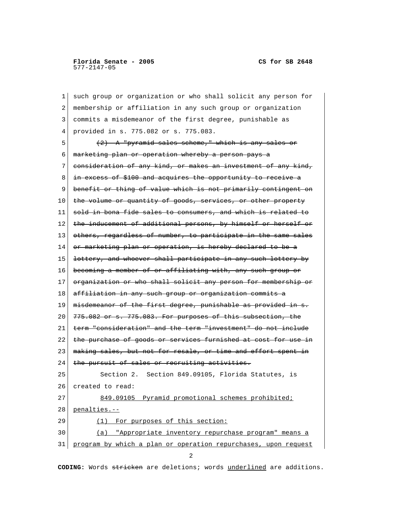1 such group or organization or who shall solicit any person for 2 membership or affiliation in any such group or organization 3 commits a misdemeanor of the first degree, punishable as 4 provided in s. 775.082 or s. 775.083.  $\mathcal{L}$  5 (2) A "pyramid sales scheme," which is any sales or 6 marketing plan or operation whereby a person pays a 7 consideration of any kind, or makes an investment of any kind, 8 in excess of \$100 and acquires the opportunity to receive a 9 benefit or thing of value which is not primarily contingent on 10 the volume or quantity of goods, services, or other property  $11$  sold in bona fide sales to consumers, and which is related to 12 the inducement of additional persons, by himself or herself or 13 | <del>others, regardless of number, to participate in the same sales</del> 14 or marketing plan or operation, is hereby declared to be a 15 lottery, and whoever shall participate in any such lottery by 16 becoming a member of or affiliating with, any such group or 17 organization or who shall solicit any person for membership or 18 affiliation in any such group or organization commits 19 misdemeanor of the first degree, punishable as provided in s.  $20$   $775.082$  or s.  $775.083$ . For purposes of this subsection, the 21 term "consideration" and the term "investment" do not include 22 the purchase of goods or services furnished at cost for use in 23 | making sales, but not for resale, or time and effort spent in 24 the pursuit of sales or recruiting activities. 25 Section 2. Section 849.09105, Florida Statutes, is 26 created to read: 27 849.09105 Pyramid promotional schemes prohibited; 28 penalties.-- 29 (1) For purposes of this section: 30 (a) "Appropriate inventory repurchase program" means a 31 program by which a plan or operation repurchases, upon request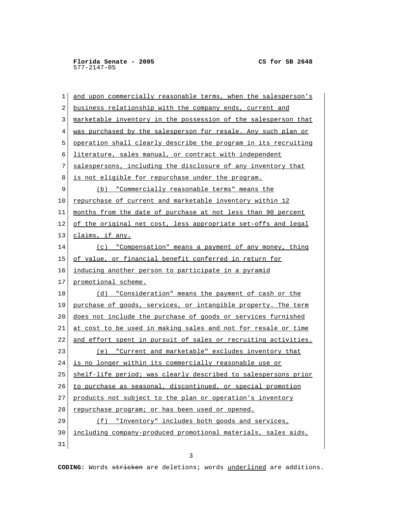| 1  | and upon commercially reasonable terms, when the salesperson's |
|----|----------------------------------------------------------------|
| 2  | business relationship with the company ends, current and       |
| 3  | marketable inventory in the possession of the salesperson that |
| 4  | was purchased by the salesperson for resale. Any such plan or  |
| 5  | operation shall clearly describe the program in its recruiting |
| 6  | literature, sales manual, or contract with independent         |
| 7  | salespersons, including the disclosure of any inventory that   |
| 8  | is not eligible for repurchase under the program.              |
| 9  | (b) "Commercially reasonable terms" means the                  |
| 10 | repurchase of current and marketable inventory within 12       |
| 11 | months from the date of purchase at not less than 90 percent   |
| 12 | of the original net cost, less appropriate set-offs and legal  |
| 13 | claims, if any.                                                |
| 14 | (c) "Compensation" means a payment of any money, thing         |
| 15 | of value, or financial benefit conferred in return for         |
| 16 | inducing another person to participate in a pyramid            |
| 17 | promotional scheme.                                            |
| 18 | (d) "Consideration" means the payment of cash or the           |
| 19 | purchase of goods, services, or intangible property. The term  |
| 20 | does not include the purchase of goods or services furnished   |
| 21 | at cost to be used in making sales and not for resale or time  |
| 22 | and effort spent in pursuit of sales or recruiting activities. |
| 23 | (e) "Current and marketable" excludes inventory that           |
| 24 | is no longer within its commercially reasonable use or         |
| 25 | shelf-life period; was clearly described to salespersons prior |
| 26 | to purchase as seasonal, discontinued, or special promotion    |
| 27 | products not subject to the plan or operation's inventory      |
| 28 | repurchase program; or has been used or opened.                |
| 29 | (f) "Inventory" includes both goods and services,              |
| 30 | including company-produced promotional materials, sales aids,  |
| 31 |                                                                |

3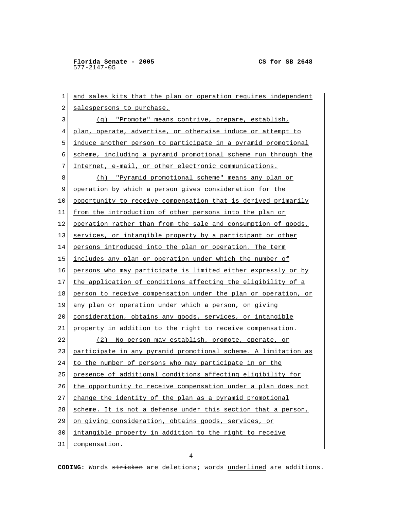1 and sales kits that the plan or operation requires independent 2 salespersons to purchase. 3 (g) "Promote" means contrive, prepare, establish, 4 plan, operate, advertise, or otherwise induce or attempt to 5 induce another person to participate in a pyramid promotional 6 scheme, including a pyramid promotional scheme run through the 7 Internet, e-mail, or other electronic communications. 8 (h) "Pyramid promotional scheme" means any plan or 9 operation by which a person gives consideration for the 10 opportunity to receive compensation that is derived primarily 11 from the introduction of other persons into the plan or 12 operation rather than from the sale and consumption of goods, 13 services, or intangible property by a participant or other 14 persons introduced into the plan or operation. The term 15 includes any plan or operation under which the number of 16 persons who may participate is limited either expressly or by 17 the application of conditions affecting the eligibility of a 18 person to receive compensation under the plan or operation, or 19 any plan or operation under which a person, on giving 20 consideration, obtains any goods, services, or intangible 21 property in addition to the right to receive compensation. 22 (2) No person may establish, promote, operate, or 23 participate in any pyramid promotional scheme. A limitation as 24 to the number of persons who may participate in or the 25 presence of additional conditions affecting eligibility for 26 the opportunity to receive compensation under a plan does not 27 change the identity of the plan as a pyramid promotional 28 scheme. It is not a defense under this section that a person, 29 on giving consideration, obtains goods, services, or 30 intangible property in addition to the right to receive 31 compensation.

4